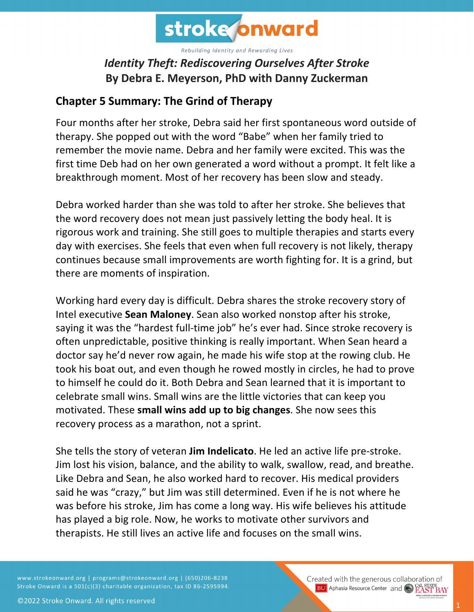

## *Identity Theft: Rediscovering Ourselves After Stroke* **By Debra E. Meyerson, PhD with Danny Zuckerman**

## **Chapter 5 Summary: The Grind of Therapy**

Four months after her stroke, Debra said her first spontaneous word outside of therapy. She popped out with the word "Babe" when her family tried to remember the movie name. Debra and her family were excited. This was the first time Deb had on her own generated a word without a prompt. It felt like a breakthrough moment. Most of her recovery has been slow and steady.

Debra worked harder than she was told to after her stroke. She believes that the word recovery does not mean just passively letting the body heal. It is rigorous work and training. She still goes to multiple therapies and starts every day with exercises. She feels that even when full recovery is not likely, therapy continues because small improvements are worth fighting for. It is a grind, but there are moments of inspiration.

Working hard every day is difficult. Debra shares the stroke recovery story of Intel executive **Sean Maloney**. Sean also worked nonstop after his stroke, saying it was the "hardest full-time job" he's ever had. Since stroke recovery is often unpredictable, positive thinking is really important. When Sean heard a doctor say he'd never row again, he made his wife stop at the rowing club. He took his boat out, and even though he rowed mostly in circles, he had to prove to himself he could do it. Both Debra and Sean learned that it is important to celebrate small wins. Small wins are the little victories that can keep you motivated. These **small wins add up to big changes**. She now sees this recovery process as a marathon, not a sprint.

She tells the story of veteran **Jim Indelicato**. He led an active life pre-stroke. Jim lost his vision, balance, and the ability to walk, swallow, read, and breathe. Like Debra and Sean, he also worked hard to recover. His medical providers said he was "crazy," but Jim was still determined. Even if he is not where he was before his stroke, Jim has come a long way. His wife believes his attitude has played a big role. Now, he works to motivate other survivors and therapists. He still lives an active life and focuses on the small wins.

www.strokeonward.org | programs@strokeonward.org | (650)206-8238 Stroke Onward is a 501(c)(3) charitable organization, tax ID 86-2595994. Created with the generous collaboration of **BU** Aphasia Resource Center and **COL STATE BAY**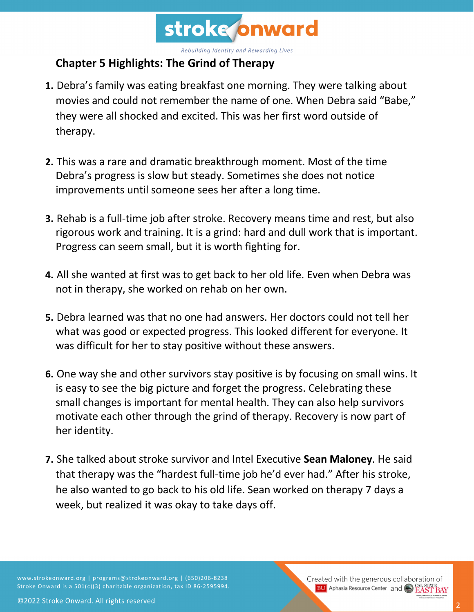

## **Chapter 5 Highlights: The Grind of Therapy**

- **1.** Debra's family was eating breakfast one morning. They were talking about movies and could not remember the name of one. When Debra said "Babe," they were all shocked and excited. This was her first word outside of therapy.
- **2.** This was a rare and dramatic breakthrough moment. Most of the time Debra's progress is slow but steady. Sometimes she does not notice improvements until someone sees her after a long time.
- **3.** Rehab is a full-time job after stroke. Recovery means time and rest, but also rigorous work and training. It is a grind: hard and dull work that is important. Progress can seem small, but it is worth fighting for.
- **4.** All she wanted at first was to get back to her old life. Even when Debra was not in therapy, she worked on rehab on her own.
- **5.** Debra learned was that no one had answers. Her doctors could not tell her what was good or expected progress. This looked different for everyone. It was difficult for her to stay positive without these answers.
- **6.** One way she and other survivors stay positive is by focusing on small wins. It is easy to see the big picture and forget the progress. Celebrating these small changes is important for mental health. They can also help survivors motivate each other through the grind of therapy. Recovery is now part of her identity.
- **7.** She talked about stroke survivor and Intel Executive **Sean Maloney**. He said that therapy was the "hardest full-time job he'd ever had." After his stroke, he also wanted to go back to his old life. Sean worked on therapy 7 days a week, but realized it was okay to take days off.

www.strokeonward.org | programs@strokeonward.org | (650)206-8238 Stroke Onward is a 501(c)(3) charitable organization, tax ID 86-2595994.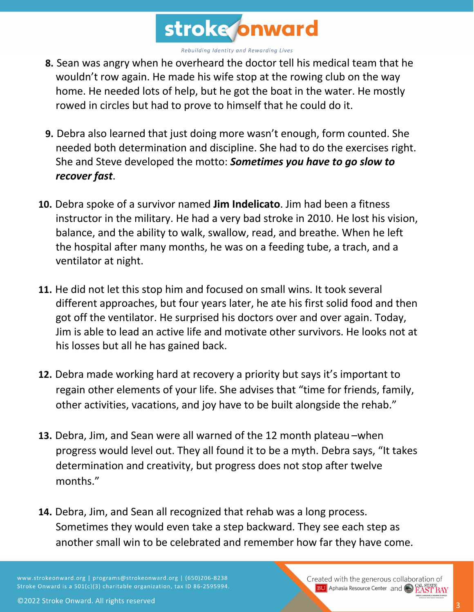

- **8.** Sean was angry when he overheard the doctor tell his medical team that he wouldn't row again. He made his wife stop at the rowing club on the way home. He needed lots of help, but he got the boat in the water. He mostly rowed in circles but had to prove to himself that he could do it.
- **9.** Debra also learned that just doing more wasn't enough, form counted. She needed both determination and discipline. She had to do the exercises right. She and Steve developed the motto: *Sometimes you have to go slow to recover fast*.
- **10.** Debra spoke of a survivor named **Jim Indelicato**. Jim had been a fitness instructor in the military. He had a very bad stroke in 2010. He lost his vision, balance, and the ability to walk, swallow, read, and breathe. When he left the hospital after many months, he was on a feeding tube, a trach, and a ventilator at night.
- **11.** He did not let this stop him and focused on small wins. It took several different approaches, but four years later, he ate his first solid food and then got off the ventilator. He surprised his doctors over and over again. Today, Jim is able to lead an active life and motivate other survivors. He looks not at his losses but all he has gained back.
- **12.** Debra made working hard at recovery a priority but says it's important to regain other elements of your life. She advises that "time for friends, family, other activities, vacations, and joy have to be built alongside the rehab."
- **13.** Debra, Jim, and Sean were all warned of the 12 month plateau –when progress would level out. They all found it to be a myth. Debra says, "It takes determination and creativity, but progress does not stop after twelve months."
- **14.** Debra, Jim, and Sean all recognized that rehab was a long process. Sometimes they would even take a step backward. They see each step as another small win to be celebrated and remember how far they have come.

www.strokeonward.org | programs@strokeonward.org | (650)206-8238 Stroke Onward is a 501(c)(3) charitable organization, tax ID 86-2595994.

Created with the generous collaboration of **BU** Aphasia Resource Center and CO **EAST BAY**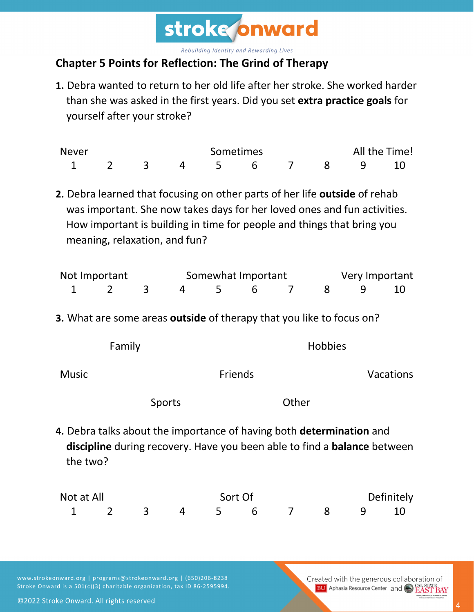

## **Chapter 5 Points for Reflection: The Grind of Therapy**

**1.** Debra wanted to return to her old life after her stroke. She worked harder than she was asked in the first years. Did you set **extra practice goals** for yourself after your stroke?

| <b>Never</b> | Sometimes |  |  |  |  |  | All the Time! |  |  |
|--------------|-----------|--|--|--|--|--|---------------|--|--|
|              |           |  |  |  |  |  | 456789        |  |  |

**2.** Debra learned that focusing on other parts of her life **outside** of rehab was important. She now takes days for her loved ones and fun activities. How important is building in time for people and things that bring you meaning, relaxation, and fun?

| Not Important |  |  |  | Somewhat Important | Very Important |          |  |  |
|---------------|--|--|--|--------------------|----------------|----------|--|--|
|               |  |  |  | 4 5 6              |                | 7 8 9 10 |  |  |

**3.** What are some areas **outside** of therapy that you like to focus on?

|       | Family |        |         |       | <b>Hobbies</b> |           |
|-------|--------|--------|---------|-------|----------------|-----------|
| Music |        |        | Friends |       |                | Vacations |
|       |        | Sports |         | Other |                |           |

**4.** Debra talks about the importance of having both **determination** and **discipline** during recovery. Have you been able to find a **balance** between the two?

| Not at All |  |  |                      | Sort Of |  | Definitely |  |  |  |
|------------|--|--|----------------------|---------|--|------------|--|--|--|
|            |  |  | 1 2 3 4 5 6 7 8 9 10 |         |  |            |  |  |  |

www.strokeonward.org | programs@strokeonward.org | (650)206-8238 Stroke Onward is a 501(c)(3) charitable organization, tax ID 86-2595994. Created with the generous collaboration of **BU** Aphasia Resource Center and CO **EAST BAY** 

©2022 Stroke Onward. All rights reserved